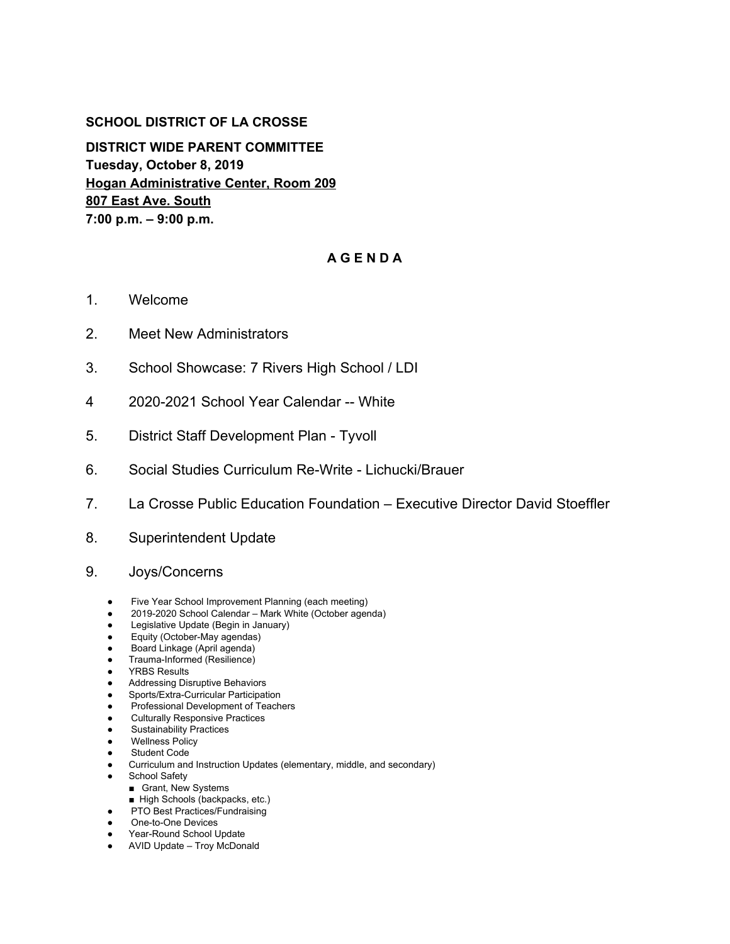## **SCHOOL DISTRICT OF LA CROSSE**

**DISTRICT WIDE PARENT COMMITTEE Tuesday, October 8, 2019 Hogan Administrative Center, Room 209 807 East Ave. South 7:00 p.m. – 9:00 p.m.**

## **A G E N D A**

- 1. Welcome
- 2. Meet New Administrators
- 3. School Showcase: 7 Rivers High School / LDI
- 4 2020-2021 School Year Calendar -- White
- 5. District Staff Development Plan Tyvoll
- 6. Social Studies Curriculum Re-Write Lichucki/Brauer
- 7. La Crosse Public Education Foundation Executive Director David Stoeffler
- 8. Superintendent Update
- 9. Joys/Concerns
	- Five Year School Improvement Planning (each meeting)
	- 2019-2020 School Calendar Mark White (October agenda)
	- Legislative Update (Begin in January)
	- Equity (October-May agendas)
	- Board Linkage (April agenda)
	- Trauma-Informed (Resilience)
	- YRBS Results
	- Addressing Disruptive Behaviors
	- Sports/Extra-Curricular Participation
	- Professional Development of Teachers
	- Culturally Responsive Practices
	- Sustainability Practices
	- Wellness Policy **Student Code**
	-
	- Curriculum and Instruction Updates (elementary, middle, and secondary)
	- School Safety
		- Grant, New Systems
		- High Schools (backpacks, etc.)
	- PTO Best Practices/Fundraising ● One-to-One Devices
	- Year-Round School Update
	- AVID Update Troy McDonald